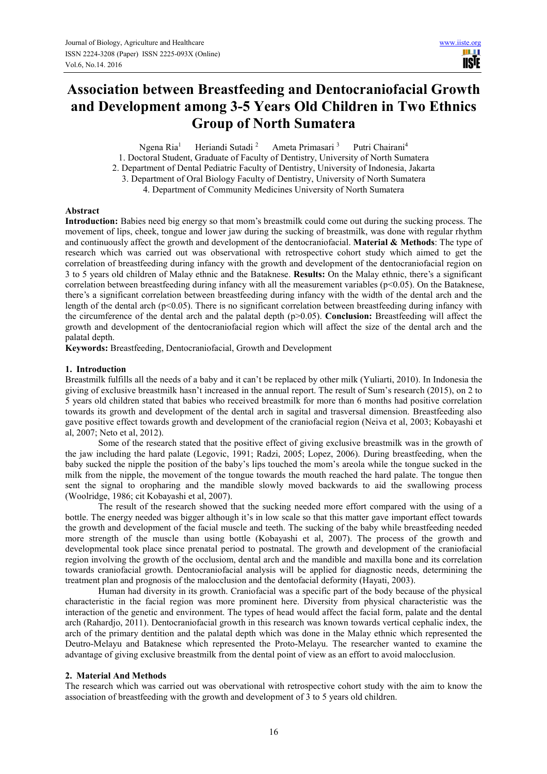HH I **IISTE** 

# **Association between Breastfeeding and Dentocraniofacial Growth and Development among 3-5 Years Old Children in Two Ethnics Group of North Sumatera**

Ngena Ria<sup>1</sup> Heriandi Sutadi <sup>2</sup> Ameta Primasari <sup>3</sup> Putri Chairani<sup>4</sup>

1. Doctoral Student, Graduate of Faculty of Dentistry, University of North Sumatera

2. Department of Dental Pediatric Faculty of Dentistry, University of Indonesia, Jakarta

3. Department of Oral Biology Faculty of Dentistry, University of North Sumatera 4. Department of Community Medicines University of North Sumatera

## **Abstract**

**Introduction:** Babies need big energy so that mom's breastmilk could come out during the sucking process. The movement of lips, cheek, tongue and lower jaw during the sucking of breastmilk, was done with regular rhythm and continuously affect the growth and development of the dentocraniofacial. **Material & Methods**: The type of research which was carried out was observational with retrospective cohort study which aimed to get the correlation of breastfeeding during infancy with the growth and development of the dentocraniofacial region on 3 to 5 years old children of Malay ethnic and the Bataknese. **Results:** On the Malay ethnic, there's a significant correlation between breastfeeding during infancy with all the measurement variables ( $p<0.05$ ). On the Bataknese, there's a significant correlation between breastfeeding during infancy with the width of the dental arch and the length of the dental arch ( $p<0.05$ ). There is no significant correlation between breastfeeding during infancy with the circumference of the dental arch and the palatal depth (p>0.05). **Conclusion:** Breastfeeding will affect the growth and development of the dentocraniofacial region which will affect the size of the dental arch and the palatal depth.

**Keywords:** Breastfeeding, Dentocraniofacial, Growth and Development

## **1. Introduction**

Breastmilk fulfills all the needs of a baby and it can't be replaced by other milk (Yuliarti, 2010). In Indonesia the giving of exclusive breastmilk hasn't increased in the annual report. The result of Sum's research (2015), on 2 to 5 years old children stated that babies who received breastmilk for more than 6 months had positive correlation towards its growth and development of the dental arch in sagital and trasversal dimension. Breastfeeding also gave positive effect towards growth and development of the craniofacial region (Neiva et al, 2003; Kobayashi et al, 2007; Neto et al, 2012).

Some of the research stated that the positive effect of giving exclusive breastmilk was in the growth of the jaw including the hard palate (Legovic, 1991; Radzi, 2005; Lopez, 2006). During breastfeeding, when the baby sucked the nipple the position of the baby's lips touched the mom's areola while the tongue sucked in the milk from the nipple, the movement of the tongue towards the mouth reached the hard palate. The tongue then sent the signal to oropharing and the mandible slowly moved backwards to aid the swallowing process (Woolridge, 1986; cit Kobayashi et al, 2007).

The result of the research showed that the sucking needed more effort compared with the using of a bottle. The energy needed was bigger although it's in low scale so that this matter gave important effect towards the growth and development of the facial muscle and teeth. The sucking of the baby while breastfeeding needed more strength of the muscle than using bottle (Kobayashi et al, 2007). The process of the growth and developmental took place since prenatal period to postnatal. The growth and development of the craniofacial region involving the growth of the occlusiom, dental arch and the mandible and maxilla bone and its correlation towards craniofacial growth. Dentocraniofacial analysis will be applied for diagnostic needs, determining the treatment plan and prognosis of the malocclusion and the dentofacial deformity (Hayati, 2003).

Human had diversity in its growth. Craniofacial was a specific part of the body because of the physical characteristic in the facial region was more prominent here. Diversity from physical characteristic was the interaction of the genetic and environment. The types of head would affect the facial form, palate and the dental arch (Rahardjo, 2011). Dentocraniofacial growth in this research was known towards vertical cephalic index, the arch of the primary dentition and the palatal depth which was done in the Malay ethnic which represented the Deutro-Melayu and Bataknese which represented the Proto-Melayu. The researcher wanted to examine the advantage of giving exclusive breastmilk from the dental point of view as an effort to avoid malocclusion.

## **2. Material And Methods**

The research which was carried out was obervational with retrospective cohort study with the aim to know the association of breastfeeding with the growth and development of 3 to 5 years old children.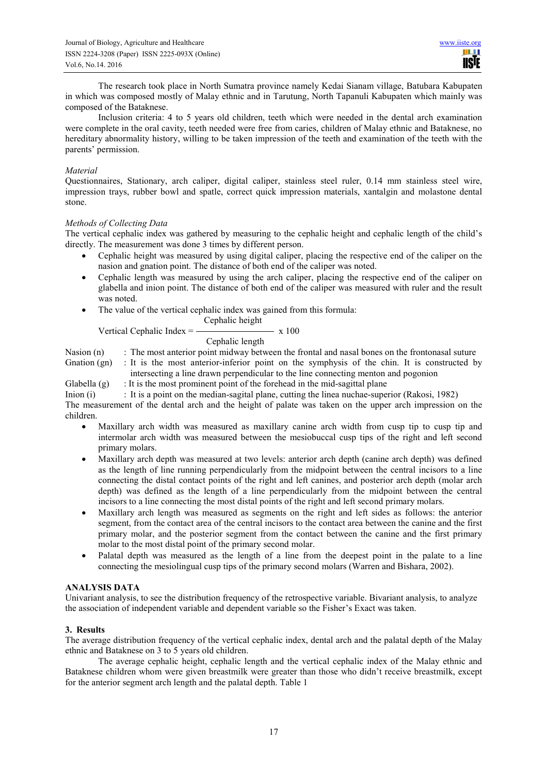The research took place in North Sumatra province namely Kedai Sianam village, Batubara Kabupaten in which was composed mostly of Malay ethnic and in Tarutung, North Tapanuli Kabupaten which mainly was composed of the Bataknese.

Inclusion criteria: 4 to 5 years old children, teeth which were needed in the dental arch examination were complete in the oral cavity, teeth needed were free from caries, children of Malay ethnic and Bataknese, no hereditary abnormality history, willing to be taken impression of the teeth and examination of the teeth with the parents' permission.

## *Material*

Questionnaires, Stationary, arch caliper, digital caliper, stainless steel ruler, 0.14 mm stainless steel wire, impression trays, rubber bowl and spatle, correct quick impression materials, xantalgin and molastone dental stone.

## *Methods of Collecting Data*

The vertical cephalic index was gathered by measuring to the cephalic height and cephalic length of the child's directly. The measurement was done 3 times by different person.

- Cephalic height was measured by using digital caliper, placing the respective end of the caliper on the nasion and gnation point. The distance of both end of the caliper was noted.
- Cephalic length was measured by using the arch caliper, placing the respective end of the caliper on glabella and inion point. The distance of both end of the caliper was measured with ruler and the result was noted.
- The value of the vertical cephalic index was gained from this formula:

 Cephalic height Vertical Cephalic Index  $=$   $\frac{\ }{\ }$  x 100

# Cephalic length

Nasion (n) : The most anterior point midway between the frontal and nasal bones on the frontonasal suture

Gnation (gn) : It is the most anterior-inferior point on the symphysis of the chin. It is constructed by intersecting a line drawn perpendicular to the line connecting menton and pogonion

Glabella  $(g)$ : It is the most prominent point of the forehead in the mid-sagittal plane

Inion (i) : It is a point on the median-sagital plane, cutting the linea nuchae-superior (Rakosi, 1982) The measurement of the dental arch and the height of palate was taken on the upper arch impression on the children.

- Maxillary arch width was measured as maxillary canine arch width from cusp tip to cusp tip and intermolar arch width was measured between the mesiobuccal cusp tips of the right and left second primary molars.
- Maxillary arch depth was measured at two levels: anterior arch depth (canine arch depth) was defined as the length of line running perpendicularly from the midpoint between the central incisors to a line connecting the distal contact points of the right and left canines, and posterior arch depth (molar arch depth) was defined as the length of a line perpendicularly from the midpoint between the central incisors to a line connecting the most distal points of the right and left second primary molars.
- Maxillary arch length was measured as segments on the right and left sides as follows: the anterior segment, from the contact area of the central incisors to the contact area between the canine and the first primary molar, and the posterior segment from the contact between the canine and the first primary molar to the most distal point of the primary second molar.
- Palatal depth was measured as the length of a line from the deepest point in the palate to a line connecting the mesiolingual cusp tips of the primary second molars (Warren and Bishara, 2002).

# **ANALYSIS DATA**

Univariant analysis, to see the distribution frequency of the retrospective variable. Bivariant analysis, to analyze the association of independent variable and dependent variable so the Fisher's Exact was taken.

# **3. Results**

The average distribution frequency of the vertical cephalic index, dental arch and the palatal depth of the Malay ethnic and Bataknese on 3 to 5 years old children.

The average cephalic height, cephalic length and the vertical cephalic index of the Malay ethnic and Bataknese children whom were given breastmilk were greater than those who didn't receive breastmilk, except for the anterior segment arch length and the palatal depth. Table 1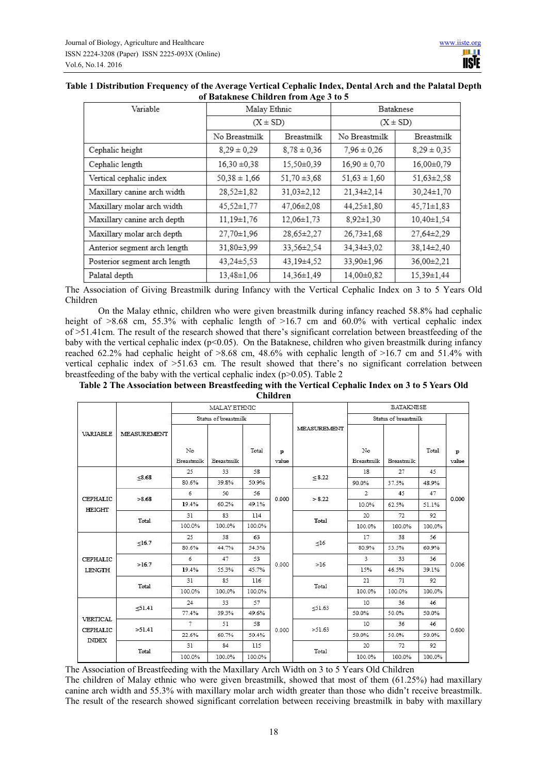| Variable                      | Malay Ethnic     |                  | Bataknese<br>$(X \pm SD)$ |                  |  |  |
|-------------------------------|------------------|------------------|---------------------------|------------------|--|--|
|                               | $(X \pm SD)$     |                  |                           |                  |  |  |
|                               | No Breastmilk    | Breastmilk       | No Breastmilk             | Breastmilk       |  |  |
| Cephalic height               | $8.29 \pm 0.29$  | $8,78 \pm 0,36$  | $7.96 \pm 0.26$           | $8,29 \pm 0,35$  |  |  |
| Cephalic length               | $16,30 \pm 0,38$ | 15,50±0,39       | $16,90 \pm 0,70$          | 16,00±0,79       |  |  |
| Vertical cephalic index       | $50,38 \pm 1,66$ | $51,70 \pm 3,68$ | $51,63 \pm 1,60$          | $51,63 \pm 2,58$ |  |  |
| Maxillary canine arch width   | $28,52 \pm 1,82$ | $31,03\pm2,12$   | $21,34\pm2,14$            | 30,24±1,70       |  |  |
| Maxillary molar arch width    | $45,52 \pm 1,77$ | 47,06±2,08       | $44,25 \pm 1,80$          | $45,71 \pm 1,83$ |  |  |
| Maxillary canine arch depth   | $11.19 \pm 1.76$ | $12.06 \pm 1.73$ | $8,92 \pm 1,30$           | $10,40 \pm 1,54$ |  |  |
| Maxillary molar arch depth    | $27,70 \pm 1,96$ | 28,65±2,27       | $26.73 \pm 1.68$          | $27.64 \pm 2.29$ |  |  |
| Anterior segment arch length  | 31,80±3,99       | 33,56±2,54       | 34,34±3,02                | 38,14±2,40       |  |  |
| Posterior segment arch length | $43,24\pm5,53$   | 43.19±4.52       | 33.90±1.96                | $36.00 \pm 2.21$ |  |  |
| Palatal depth                 | $13,48 \pm 1,06$ | 14,36±1,49       | 14,00±0,82                | 15,39±1,44       |  |  |

# **Table 1 Distribution Frequency of the Average Vertical Cephalic Index, Dental Arch and the Palatal Depth of Bataknese Children from Age 3 to 5**

The Association of Giving Breastmilk during Infancy with the Vertical Cephalic Index on 3 to 5 Years Old Children

On the Malay ethnic, children who were given breastmilk during infancy reached 58.8% had cephalic height of >8.68 cm, 55.3% with cephalic length of >16.7 cm and 60.0% with vertical cephalic index of >51.41cm. The result of the research showed that there's significant correlation between breastfeeding of the baby with the vertical cephalic index (p<0.05). On the Bataknese, children who given breastmilk during infancy reached 62.2% had cephalic height of >8.68 cm, 48.6% with cephalic length of >16.7 cm and 51.4% with vertical cephalic index of >51.63 cm. The result showed that there's no significant correlation between breastfeeding of the baby with the vertical cephalic index ( $p > 0.05$ ). Table 2

| Table 2 The Association between Breastfeeding with the Vertical Cephalic Index on 3 to 5 Years Old |  |
|----------------------------------------------------------------------------------------------------|--|
| <b>Children</b>                                                                                    |  |

|                           |                    |                  | MALAY ETHNIC         |        |            |             |                      |            |        |            |
|---------------------------|--------------------|------------------|----------------------|--------|------------|-------------|----------------------|------------|--------|------------|
|                           |                    |                  | Status of breastmilk |        |            |             | Status of breastmilk |            |        |            |
| <b>VARIABLE</b>           | <b>MEASUREMENT</b> | No<br>Breastmilk | Breastmilk           | Total  | p<br>value | MEASUREMENT | No<br>Breastmilk     | Breastmilk | Total  | p<br>value |
|                           |                    | 25               | 33                   | 58     |            | < 8.22      | 18                   | 27         | 45     |            |
| <b>CEPHALIC</b><br>HEIGHT | <8.68              | 80.6%            | 39.8%                | 50.9%  |            |             | 90.0%                | 37.5%      | 48.9%  | 0.000      |
|                           | >8.68              | 6                | 50                   | 56     | 0.000      | > 8.22      | $\mathfrak{D}$       | 45         | 47     |            |
|                           |                    | 19.4%            | 60.2%                | 49.1%  |            |             | 10.0%                | 62.5%      | 51.1%  |            |
|                           | Total              | 31               | 83                   | 114    |            | Total       | 20                   | 72         | 92     |            |
|                           |                    | 100.0%           | 100.0%               | 100.0% |            |             | 100.0%               | 100.0%     | 100.0% |            |
|                           | <16.7              | 25               | 38                   | 63     | 0.000      | <16         | 17                   | 38         | 56     | 0.006      |
|                           |                    | 80.6%            | 44.7%                | 54.3%  |            |             | 80.9%                | 53.5%      | 60.9%  |            |
| <b>CEPHALIC</b>           | >16.7              | 6                | 47                   | 53     |            | >16         | 3                    | 33         | 36     |            |
| <b>LENGTH</b>             |                    | 19.4%            | 55.3%                | 45.7%  |            |             | 15%                  | 46.5%      | 39.1%  |            |
|                           | Total              | 31               | 85                   | 116    |            | Total       | 21                   | 71         | 92     |            |
|                           |                    | 100.0%           | 100.0%               | 100.0% |            |             | 100.0%               | 100.0%     | 100.0% |            |
|                           |                    | 24               | 33                   | 57     |            |             | 10                   | 36         | 46     | 0.600      |
|                           | 51.41              | 77.4%            | 39.3%                | 49.6%  |            | 51.63       | 50.0%                | 50.0%      | 50.0%  |            |
| <b>VERTICAL</b>           | >51.41             | 7                | 51                   | 58     | 0.000      | >51.63      | 10                   | 36         | 46     |            |
| CEPHALIC<br><b>INDEX</b>  |                    | 22.6%            | 60.7%                | 50.4%  |            |             | 50.0%                | 50.0%      | 50.0%  |            |
|                           | Total              | 31               | 84                   | 115    |            |             | 20                   | 72         | 92     |            |
|                           |                    | 100.0%           | 100.0%               | 100.0% |            | Total       | 100.0%               | 100.0%     | 100.0% |            |

The Association of Breastfeeding with the Maxillary Arch Width on 3 to 5 Years Old Children The children of Malay ethnic who were given breastmilk, showed that most of them (61.25%) had maxillary canine arch width and 55.3% with maxillary molar arch width greater than those who didn't receive breastmilk. The result of the research showed significant correlation between receiving breastmilk in baby with maxillary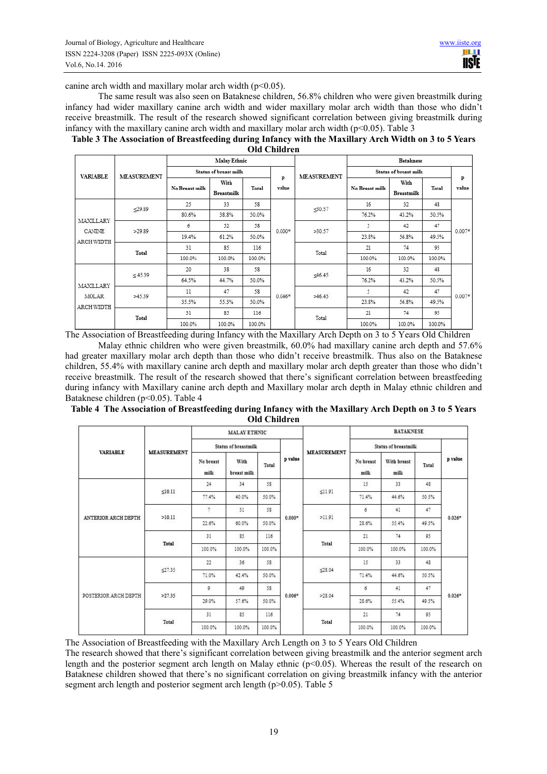canine arch width and maxillary molar arch width  $(p<0.05)$ .

The same result was also seen on Bataknese children, 56.8% children who were given breastmilk during infancy had wider maxillary canine arch width and wider maxillary molar arch width than those who didn't receive breastmilk. The result of the research showed significant correlation between giving breastmilk during infancy with the maxillary canine arch width and maxillary molar arch width ( $p \le 0.05$ ). Table 3

|                                                                                                       | a material contracts and the contracts of the contracts of the contracts of the contracts of the contracts of |  |  |  |
|-------------------------------------------------------------------------------------------------------|---------------------------------------------------------------------------------------------------------------|--|--|--|
| Table 3 The Association of Breastfeeding during Infancy with the Maxillary Arch Width on 3 to 5 Years |                                                                                                               |  |  |  |
|                                                                                                       | <b>Old Children</b>                                                                                           |  |  |  |

|                            |                    |                | <b>Malay Ethnic</b>       |        | $\sim$ $\sim$ $\sim$ $\sim$ $\sim$ $\sim$ $\sim$ |                    | <b>Bataknese</b>      |                           |        |            |  |
|----------------------------|--------------------|----------------|---------------------------|--------|--------------------------------------------------|--------------------|-----------------------|---------------------------|--------|------------|--|
| <b>VARIABLE</b>            | <b>MEASUREMENT</b> |                | Status of breast milk     |        | p<br>value                                       | <b>MEASUREMENT</b> | Status of breast milk |                           |        |            |  |
|                            |                    | No Breast milk | With<br><b>Breastmilk</b> | Total  |                                                  |                    | No Breast milk        | With<br><b>Breastmilk</b> | Total  | p<br>value |  |
|                            |                    | 25             | 33                        | 58     |                                                  | 30.57              | 16                    | 32                        | 48     |            |  |
|                            | $-29.89$           | 80.6%          | 38.8%                     | 50.0%  |                                                  |                    | 76.2%                 | 43.2%                     | 50.5%  | $0.007*$   |  |
| MAXILLARY<br><b>CANINE</b> | >29.89<br>Total    | 6              | 52                        | 58     | $0.000*$                                         | >30.57             | 5.                    | 42                        | 47     |            |  |
|                            |                    | 19.4%          | 61.2%                     | 50.0%  |                                                  |                    | 23.8%                 | 56.8%                     | 49.5%  |            |  |
| ARCH WIDTH                 |                    | 31             | 85                        | 116    |                                                  | Total              | 21                    | 74                        | 95     |            |  |
|                            |                    | 100.0%         | 100.0%                    | 100.0% |                                                  |                    | 100.0%                | 100.0%                    | 100.0% |            |  |
|                            |                    | 20             | 38                        | 58     |                                                  | <46.45             | 16                    | 32                        | 48     | $0.007*$   |  |
|                            | < 45.39            | 64.5%          | 44.7%                     | 50.0%  |                                                  |                    | 76.2%                 | 43.2%                     | 50.5%  |            |  |
| MAXILLARY<br>MOLAR         | >45.39             | 11             | 47                        | 58     | $0.046*$                                         |                    | 5                     | 42                        | 47     |            |  |
| ARCH WIDTH                 |                    | 35.5%          | 55.3%                     | 50.0%  |                                                  | >46.45             | 23.8%                 | 56.8%                     | 49.5%  |            |  |
|                            | Total              | 31             | 85                        | 116    |                                                  |                    | 21                    | 74                        | 95     |            |  |
|                            |                    | 100.0%         | 100.0%                    | 100.0% |                                                  | Total              | 100.0%                | 100.0%                    | 100.0% |            |  |

The Association of Breastfeeding during Infancy with the Maxillary Arch Depth on 3 to 5 Years Old Children Malay ethnic children who were given breastmilk, 60.0% had maxillary canine arch depth and 57.6%

had greater maxillary molar arch depth than those who didn't receive breastmilk. Thus also on the Bataknese children, 55.4% with maxillary canine arch depth and maxillary molar arch depth greater than those who didn't receive breastmilk. The result of the research showed that there's significant correlation between breastfeeding during infancy with Maxillary canine arch depth and Maxillary molar arch depth in Malay ethnic children and Bataknese children (p<0.05). Table 4

**Table 4 The Association of Breastfeeding during Infancy with the Maxillary Arch Depth on 3 to 5 Years Old Children** 

| <b>VARIABLE</b>      |                    | <b>MALAY ETHNIC</b>  |                     |        |          |                    | <b>BATAKNESE</b>     |                     |        |                      |
|----------------------|--------------------|----------------------|---------------------|--------|----------|--------------------|----------------------|---------------------|--------|----------------------|
|                      | <b>MEASUREMENT</b> | Status of breastmilk |                     |        |          | <b>MEASUREMENT</b> | Status of breastmilk |                     |        |                      |
|                      |                    | No breast<br>milk    | With<br>breast milk | Total  | p value  |                    | No breast<br>milk    | With breast<br>milk | Total  | p value              |
|                      |                    | 24                   | 34                  | 58     |          |                    | 15                   | 33                  | 48     |                      |
|                      | <10.11             | 77.4%                | 40.0%               | 50.0%  |          | < 11.91            | 71.4%                | 44.6%               | 50.5%  | $0.026*$<br>$0.026*$ |
| ANTERIOR ARCH DEPTH  |                    | 7                    | 51                  | 58     | $0.000*$ | >11.91             | 6                    | 41                  | 47     |                      |
|                      | >10.11             | 22.6%                | 60.0%               | 50.0%  |          |                    | 28.6%                | 55.4%               | 49.5%  |                      |
|                      | Total              | 31                   | 85                  | 116    |          | Total              | 21                   | 74                  | 95     |                      |
|                      |                    | 100.0%               | 100.0%              | 100.0% |          |                    | 100.0%               | 100.0%              | 100.0% |                      |
|                      |                    | 22                   | 36                  | 58     |          | < 28.04            | 15                   | 33                  | 48     |                      |
|                      | ≤27.35             | 71.0%                | 42.4%               | 50.0%  |          |                    | 71.4%                | 44.6%               | 50.5%  |                      |
|                      |                    | 9                    | 49                  | 58     |          | >28.04             | 6                    | 41                  | 47     |                      |
| POSTERIOR ARCH DEPTH | >27.35             | 29.0%                | 57.6%               | 50.0%  | $0.006*$ |                    | 28.6%                | 55.4%               | 49.5%  |                      |
|                      |                    | 31                   | 85                  | 116    |          | Total              | 21                   | 74                  | 95     |                      |
|                      | Total              | 100.0%               | 100.0%              | 100.0% |          |                    | 100.0%               | 100.0%              | 100.0% |                      |

The Association of Breastfeeding with the Maxillary Arch Length on 3 to 5 Years Old Children

The research showed that there's significant correlation between giving breastmilk and the anterior segment arch length and the posterior segment arch length on Malay ethnic ( $p<0.05$ ). Whereas the result of the research on Bataknese children showed that there's no significant correlation on giving breastmilk infancy with the anterior segment arch length and posterior segment arch length (p>0.05). Table 5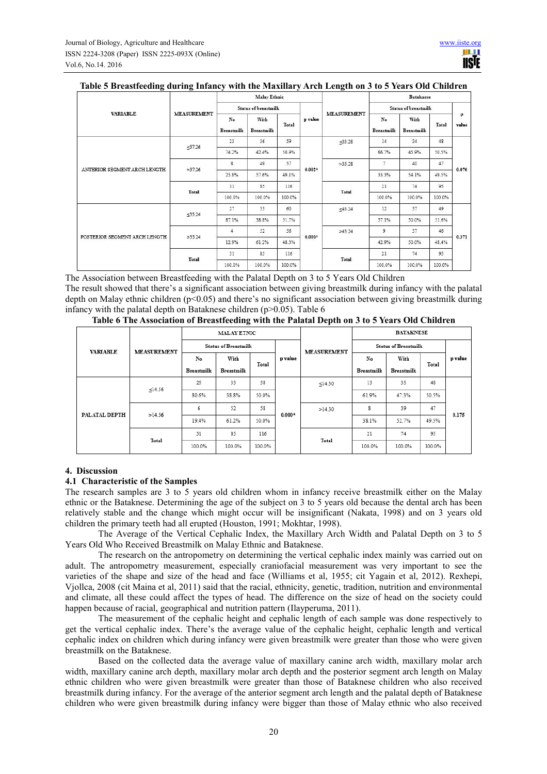|                               |                    |                         | <b>Malay Ethnic</b>       |        |          |                    |                         |                           |        |            |
|-------------------------------|--------------------|-------------------------|---------------------------|--------|----------|--------------------|-------------------------|---------------------------|--------|------------|
| <b>VARIABLE</b>               |                    |                         | Status of breastmilk      |        |          |                    | Status of breastmilk    |                           |        |            |
|                               | <b>MEASUREMENT</b> | No<br><b>Breastmilk</b> | With<br><b>Breastmilk</b> | Total  | p value  | <b>MEASUREMENT</b> | No<br><b>Breastmilk</b> | With<br><b>Breastmilk</b> | Total  | P<br>value |
|                               |                    | 23                      | 36                        | 59     |          | < 33.28            | 14                      | 34                        | 48     |            |
|                               | < 37.26            | 74.2%                   | 42.4%                     | 50.9%  |          |                    | 66.7%                   | 45.9%                     | 50.5%  | 0.076      |
|                               | >37.26             | $\mathbf{8}$            | 49                        | 57     | $0.002*$ | >33.28<br>Total    | $\overline{7}$          | 40                        | 47     |            |
| ANTERIOR SEGMENT ARCH LENGTH  |                    | 25.8%                   | 57.6%                     | 49.1%  |          |                    | 33.3%                   | 54.1%                     | 49.5%  |            |
|                               | Total              | 31                      | 85                        | 116    |          |                    | 21                      | 74                        | 95     |            |
|                               |                    | 100.0%                  | 100.0%                    | 100.0% |          |                    | 100.0%                  | 100.0%                    | 100.0% |            |
|                               | <35.24             | 27                      | 33                        | 60     | $0.000*$ | <43.24<br>>43.24   | 12                      | 37                        | 49     |            |
|                               |                    | 87.1%                   | 38.8%                     | 51.7%  |          |                    | 57.1%                   | 50.0%                     | 51.6%  | 0.371      |
|                               |                    | $\overline{4}$          | 52                        | 56     |          |                    | 9                       | 37                        | 46     |            |
| POSTERIOR SEGMENT ARCH LENGTH | >35.24             | 12.9%                   | 61.2%                     | 48.3%  |          |                    | 42.9%                   | 50.0%                     | 48.4%  |            |
|                               | Total              | 31                      | 85                        | 116    |          | Total              | 21                      | 74                        | 95     |            |
|                               |                    | 100.0%                  | 100.0%                    | 100.0% |          |                    | 100.0%                  | 100.0%                    | 100.0% |            |

#### **Table 5 Breastfeeding during Infancy with the Maxillary Arch Length on 3 to 5 Years Old Children**

The Association between Breastfeeding with the Palatal Depth on 3 to 5 Years Old Children The result showed that there's a significant association between giving breastmilk during infancy with the palatal depth on Malay ethnic children ( $p<0.05$ ) and there's no significant association between giving breastmilk during infancy with the palatal depth on Bataknese children ( $p > 0.05$ ). Table 6

| Table 6 The Association of Breastfeeding with the Palatal Depth on 3 to 5 Years Old Children |  |  |  |
|----------------------------------------------------------------------------------------------|--|--|--|
|----------------------------------------------------------------------------------------------|--|--|--|

|                 |                                                                                                                        |        | <b>MALAY ETNIC</b> |        |          |                    | <b>BATAKNESE</b>            |            |        |       |  |
|-----------------|------------------------------------------------------------------------------------------------------------------------|--------|--------------------|--------|----------|--------------------|-----------------------------|------------|--------|-------|--|
| <b>VARIABLE</b> | <b>Status of Breastmilk</b><br><b>MEASUREMENT</b><br>p value<br>With<br>No<br>Total<br><b>Breastmilk</b><br>Breastmilk |        |                    |        |          | <b>MEASUREMENT</b> | <b>Status of Breastmilk</b> |            |        |       |  |
|                 |                                                                                                                        |        | No                 | With   | Total    | p value            |                             |            |        |       |  |
|                 |                                                                                                                        |        |                    |        |          |                    | <b>Breastmilk</b>           | Breastmilk |        |       |  |
|                 | <14.56<br>>14.56                                                                                                       | 25     | 33                 | 58     |          | $\leq$ 14.30       | 13                          | 35         | 48     |       |  |
|                 |                                                                                                                        | 80.6%  | 38.8%              | 50.0%  |          |                    | 61.9%                       | 47.3%      | 50.5%  |       |  |
| PALATAL DEPTH   |                                                                                                                        | 6      | 52                 | 58     |          | >14.30             | 8                           | 39         | 47     | 0.175 |  |
|                 |                                                                                                                        | 19.4%  | 61.2%              | 50.0%  | $0.000*$ |                    | 38.1%                       | 52.7%      | 49.5%  |       |  |
|                 |                                                                                                                        | 31     | 116<br>85          |        |          | 21                 | 74                          | 95         |        |       |  |
|                 | Total                                                                                                                  | 100.0% | 100.0%             | 100.0% |          | Total              | 100.0%                      | 100.0%     | 100.0% |       |  |

#### **4. Discussion**

#### **4.1 Characteristic of the Samples**

The research samples are 3 to 5 years old children whom in infancy receive breastmilk either on the Malay ethnic or the Bataknese. Determining the age of the subject on 3 to 5 years old because the dental arch has been relatively stable and the change which might occur will be insignificant (Nakata, 1998) and on 3 years old children the primary teeth had all erupted (Houston, 1991; Mokhtar, 1998).

The Average of the Vertical Cephalic Index, the Maxillary Arch Width and Palatal Depth on 3 to 5 Years Old Who Received Breastmilk on Malay Ethnic and Bataknese.

The research on the antropometry on determining the vertical cephalic index mainly was carried out on adult. The antropometry measurement, especially craniofacial measurement was very important to see the varieties of the shape and size of the head and face (Williams et al, 1955; cit Yagain et al, 2012). Rexhepi, Vjollca, 2008 (cit Maina et al, 2011) said that the racial, ethnicity, genetic, tradition, nutrition and environmental and climate, all these could affect the types of head. The difference on the size of head on the society could happen because of racial, geographical and nutrition pattern (Ilayperuma, 2011).

The measurement of the cephalic height and cephalic length of each sample was done respectively to get the vertical cephalic index. There's the average value of the cephalic height, cephalic length and vertical cephalic index on children which during infancy were given breastmilk were greater than those who were given breastmilk on the Bataknese.

Based on the collected data the average value of maxillary canine arch width, maxillary molar arch width, maxillary canine arch depth, maxillary molar arch depth and the posterior segment arch length on Malay ethnic children who were given breastmilk were greater than those of Bataknese children who also received breastmilk during infancy. For the average of the anterior segment arch length and the palatal depth of Bataknese children who were given breastmilk during infancy were bigger than those of Malay ethnic who also received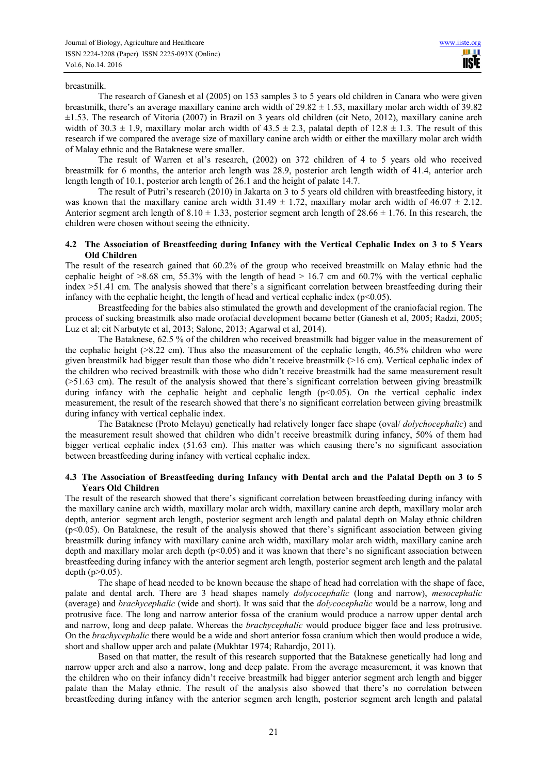#### breastmilk.

The research of Ganesh et al (2005) on 153 samples 3 to 5 years old children in Canara who were given breastmilk, there's an average maxillary canine arch width of  $29.82 \pm 1.53$ , maxillary molar arch width of  $39.82$ ±1.53. The research of Vitoria (2007) in Brazil on 3 years old children (cit Neto, 2012), maxillary canine arch width of 30.3  $\pm$  1.9, maxillary molar arch width of 43.5  $\pm$  2.3, palatal depth of 12.8  $\pm$  1.3. The result of this research if we compared the average size of maxillary canine arch width or either the maxillary molar arch width of Malay ethnic and the Bataknese were smaller.

The result of Warren et al's research, (2002) on 372 children of 4 to 5 years old who received breastmilk for 6 months, the anterior arch length was 28.9, posterior arch length width of 41.4, anterior arch length length of 10.1, posterior arch length of 26.1 and the height of palate 14.7.

The result of Putri's research (2010) in Jakarta on 3 to 5 years old children with breastfeeding history, it was known that the maxillary canine arch width  $31.49 \pm 1.72$ , maxillary molar arch width of  $46.07 \pm 2.12$ . Anterior segment arch length of 8.10  $\pm$  1.33, posterior segment arch length of 28.66  $\pm$  1.76. In this research, the children were chosen without seeing the ethnicity.

#### **4.2 The Association of Breastfeeding during Infancy with the Vertical Cephalic Index on 3 to 5 Years Old Children**

The result of the research gained that 60.2% of the group who received breastmilk on Malay ethnic had the cephalic height of  $>8.68$  cm, 55.3% with the length of head  $>16.7$  cm and 60.7% with the vertical cephalic index >51.41 cm. The analysis showed that there's a significant correlation between breastfeeding during their infancy with the cephalic height, the length of head and vertical cephalic index ( $p<0.05$ ).

Breastfeeding for the babies also stimulated the growth and development of the craniofacial region. The process of sucking breastmilk also made orofacial development became better (Ganesh et al, 2005; Radzi, 2005; Luz et al; cit Narbutyte et al, 2013; Salone, 2013; Agarwal et al, 2014).

The Bataknese, 62.5 % of the children who received breastmilk had bigger value in the measurement of the cephalic height (>8.22 cm). Thus also the measurement of the cephalic length, 46.5% children who were given breastmilk had bigger result than those who didn't receive breastmilk (>16 cm). Vertical cephalic index of the children who recived breastmilk with those who didn't receive breastmilk had the same measurement result (>51.63 cm). The result of the analysis showed that there's significant correlation between giving breastmilk during infancy with the cephalic height and cephalic length  $(p<0.05)$ . On the vertical cephalic index measurement, the result of the research showed that there's no significant correlation between giving breastmilk during infancy with vertical cephalic index.

The Bataknese (Proto Melayu) genetically had relatively longer face shape (oval/ *dolychocephalic*) and the measurement result showed that children who didn't receive breastmilk during infancy, 50% of them had bigger vertical cephalic index (51.63 cm). This matter was which causing there's no significant association between breastfeeding during infancy with vertical cephalic index.

#### **4.3 The Association of Breastfeeding during Infancy with Dental arch and the Palatal Depth on 3 to 5 Years Old Children**

The result of the research showed that there's significant correlation between breastfeeding during infancy with the maxillary canine arch width, maxillary molar arch width, maxillary canine arch depth, maxillary molar arch depth, anterior segment arch length, posterior segment arch length and palatal depth on Malay ethnic children  $(p<0.05)$ . On Bataknese, the result of the analysis showed that there's significant association between giving breastmilk during infancy with maxillary canine arch width, maxillary molar arch width, maxillary canine arch depth and maxillary molar arch depth ( $p<0.05$ ) and it was known that there's no significant association between breastfeeding during infancy with the anterior segment arch length, posterior segment arch length and the palatal depth  $(p>0.05)$ .

The shape of head needed to be known because the shape of head had correlation with the shape of face, palate and dental arch. There are 3 head shapes namely *dolycocephalic* (long and narrow), *mesocephalic* (average) and *brachycephalic* (wide and short). It was said that the *dolycocephalic* would be a narrow, long and protrusive face. The long and narrow anterior fossa of the cranium would produce a narrow upper dental arch and narrow, long and deep palate. Whereas the *brachycephalic* would produce bigger face and less protrusive. On the *brachycephalic* there would be a wide and short anterior fossa cranium which then would produce a wide, short and shallow upper arch and palate (Mukhtar 1974; Rahardjo, 2011).

Based on that matter, the result of this research supported that the Bataknese genetically had long and narrow upper arch and also a narrow, long and deep palate. From the average measurement, it was known that the children who on their infancy didn't receive breastmilk had bigger anterior segment arch length and bigger palate than the Malay ethnic. The result of the analysis also showed that there's no correlation between breastfeeding during infancy with the anterior segmen arch length, posterior segment arch length and palatal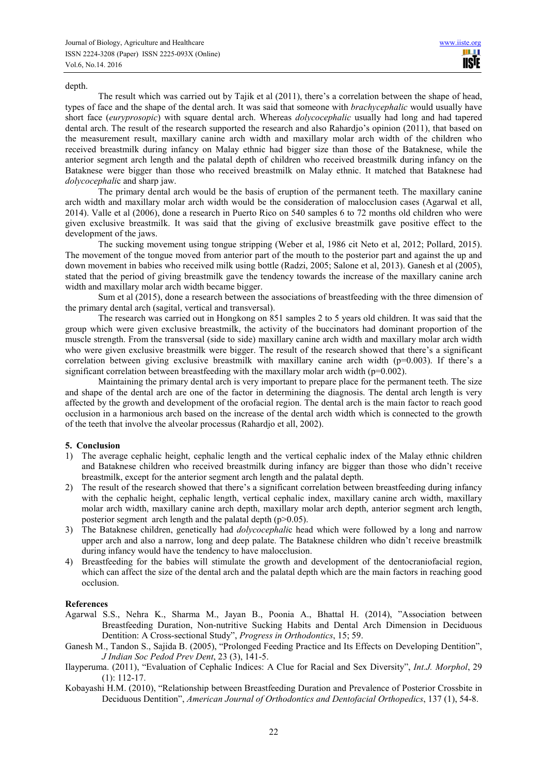#### depth.

The result which was carried out by Tajik et al (2011), there's a correlation between the shape of head, types of face and the shape of the dental arch. It was said that someone with *brachycephalic* would usually have short face (*euryprosopic*) with square dental arch. Whereas *dolycocephalic* usually had long and had tapered dental arch. The result of the research supported the research and also Rahardjo's opinion (2011), that based on the measurement result, maxillary canine arch width and maxillary molar arch width of the children who received breastmilk during infancy on Malay ethnic had bigger size than those of the Bataknese, while the anterior segment arch length and the palatal depth of children who received breastmilk during infancy on the Bataknese were bigger than those who received breastmilk on Malay ethnic. It matched that Bataknese had *dolycocephali*c and sharp jaw.

The primary dental arch would be the basis of eruption of the permanent teeth. The maxillary canine arch width and maxillary molar arch width would be the consideration of malocclusion cases (Agarwal et all, 2014). Valle et al (2006), done a research in Puerto Rico on 540 samples 6 to 72 months old children who were given exclusive breastmilk. It was said that the giving of exclusive breastmilk gave positive effect to the development of the jaws.

The sucking movement using tongue stripping (Weber et al, 1986 cit Neto et al, 2012; Pollard, 2015). The movement of the tongue moved from anterior part of the mouth to the posterior part and against the up and down movement in babies who received milk using bottle (Radzi, 2005; Salone et al, 2013). Ganesh et al (2005), stated that the period of giving breastmilk gave the tendency towards the increase of the maxillary canine arch width and maxillary molar arch width became bigger.

Sum et al (2015), done a research between the associations of breastfeeding with the three dimension of the primary dental arch (sagital, vertical and transversal).

The research was carried out in Hongkong on 851 samples 2 to 5 years old children. It was said that the group which were given exclusive breastmilk, the activity of the buccinators had dominant proportion of the muscle strength. From the transversal (side to side) maxillary canine arch width and maxillary molar arch width who were given exclusive breastmilk were bigger. The result of the research showed that there's a significant correlation between giving exclusive breastmilk with maxillary canine arch width (p=0.003). If there's a significant correlation between breastfeeding with the maxillary molar arch width ( $p=0.002$ ).

Maintaining the primary dental arch is very important to prepare place for the permanent teeth. The size and shape of the dental arch are one of the factor in determining the diagnosis. The dental arch length is very affected by the growth and development of the orofacial region. The dental arch is the main factor to reach good occlusion in a harmonious arch based on the increase of the dental arch width which is connected to the growth of the teeth that involve the alveolar processus (Rahardjo et all, 2002).

#### **5. Conclusion**

- 1) The average cephalic height, cephalic length and the vertical cephalic index of the Malay ethnic children and Bataknese children who received breastmilk during infancy are bigger than those who didn't receive breastmilk, except for the anterior segment arch length and the palatal depth.
- 2) The result of the research showed that there's a significant correlation between breastfeeding during infancy with the cephalic height, cephalic length, vertical cephalic index, maxillary canine arch width, maxillary molar arch width, maxillary canine arch depth, maxillary molar arch depth, anterior segment arch length, posterior segment arch length and the palatal depth (p>0.05).
- 3) The Bataknese children, genetically had *dolycocephali*c head which were followed by a long and narrow upper arch and also a narrow, long and deep palate. The Bataknese children who didn't receive breastmilk during infancy would have the tendency to have malocclusion.
- 4) Breastfeeding for the babies will stimulate the growth and development of the dentocraniofacial region, which can affect the size of the dental arch and the palatal depth which are the main factors in reaching good occlusion.

#### **References**

- Agarwal S.S., Nehra K., Sharma M., Jayan B., Poonia A., Bhattal H. (2014), "Association between Breastfeeding Duration, Non-nutritive Sucking Habits and Dental Arch Dimension in Deciduous Dentition: A Cross-sectional Study", *Progress in Orthodontics*, 15; 59.
- Ganesh M., Tandon S., Sajida B. (2005), "Prolonged Feeding Practice and Its Effects on Developing Dentition", *J Indian Soc Pedod Prev Dent*, 23 (3), 141-5.
- Ilayperuma. (2011), "Evaluation of Cephalic Indices: A Clue for Racial and Sex Diversity", *Int.J. Morphol*, 29 (1): 112-17.
- Kobayashi H.M. (2010), "Relationship between Breastfeeding Duration and Prevalence of Posterior Crossbite in Deciduous Dentition", *American Journal of Orthodontics and Dentofacial Orthopedics*, 137 (1), 54-8.